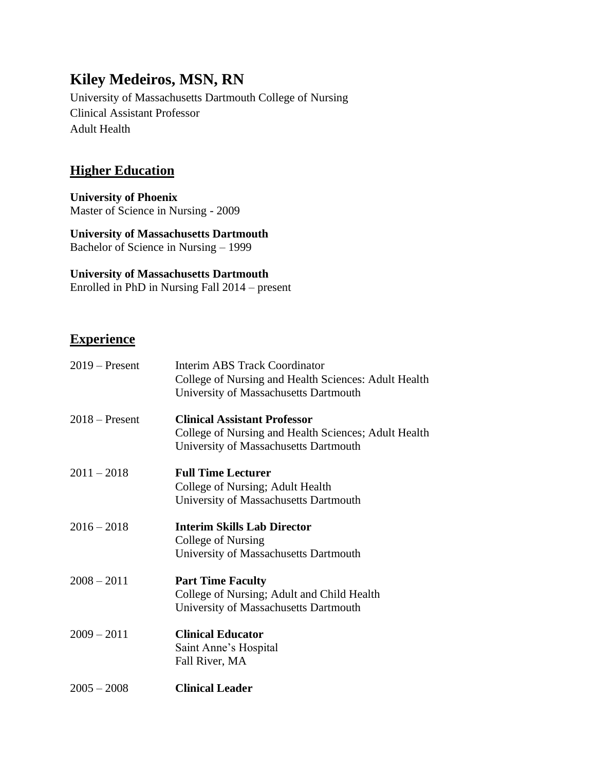# **Kiley Medeiros, MSN, RN**

University of Massachusetts Dartmouth College of Nursing Clinical Assistant Professor Adult Health

# **Higher Education**

**University of Phoenix** Master of Science in Nursing - 2009

**University of Massachusetts Dartmouth** Bachelor of Science in Nursing – 1999

# **University of Massachusetts Dartmouth**

Enrolled in PhD in Nursing Fall 2014 – present

# **Experience**

| $2019 -$ Present | <b>Interim ABS Track Coordinator</b><br>College of Nursing and Health Sciences: Adult Health<br>University of Massachusetts Dartmouth |
|------------------|---------------------------------------------------------------------------------------------------------------------------------------|
| $2018$ – Present | <b>Clinical Assistant Professor</b><br>College of Nursing and Health Sciences; Adult Health<br>University of Massachusetts Dartmouth  |
| $2011 - 2018$    | <b>Full Time Lecturer</b><br>College of Nursing; Adult Health<br>University of Massachusetts Dartmouth                                |
| $2016 - 2018$    | <b>Interim Skills Lab Director</b><br>College of Nursing<br>University of Massachusetts Dartmouth                                     |
| $2008 - 2011$    | <b>Part Time Faculty</b><br>College of Nursing; Adult and Child Health<br>University of Massachusetts Dartmouth                       |
| $2009 - 2011$    | <b>Clinical Educator</b><br>Saint Anne's Hospital<br>Fall River, MA                                                                   |
| $2005 - 2008$    | <b>Clinical Leader</b>                                                                                                                |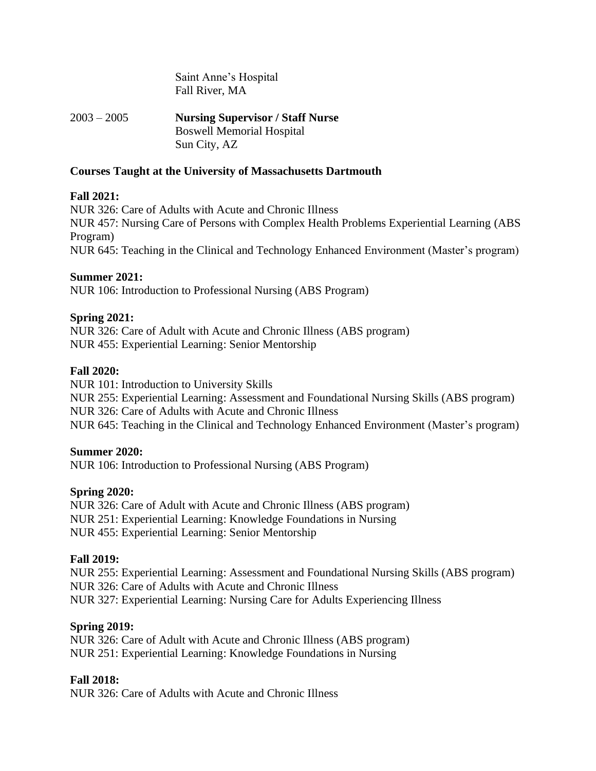Saint Anne's Hospital Fall River, MA

2003 – 2005 **Nursing Supervisor / Staff Nurse** Boswell Memorial Hospital Sun City, AZ

#### **Courses Taught at the University of Massachusetts Dartmouth**

#### **Fall 2021:**

NUR 326: Care of Adults with Acute and Chronic Illness NUR 457: Nursing Care of Persons with Complex Health Problems Experiential Learning (ABS Program) NUR 645: Teaching in the Clinical and Technology Enhanced Environment (Master's program)

#### **Summer 2021:**

NUR 106: Introduction to Professional Nursing (ABS Program)

#### **Spring 2021:**

NUR 326: Care of Adult with Acute and Chronic Illness (ABS program) NUR 455: Experiential Learning: Senior Mentorship

#### **Fall 2020:**

NUR 101: Introduction to University Skills NUR 255: Experiential Learning: Assessment and Foundational Nursing Skills (ABS program) NUR 326: Care of Adults with Acute and Chronic Illness NUR 645: Teaching in the Clinical and Technology Enhanced Environment (Master's program)

#### **Summer 2020:**

NUR 106: Introduction to Professional Nursing (ABS Program)

#### **Spring 2020:**

NUR 326: Care of Adult with Acute and Chronic Illness (ABS program) NUR 251: Experiential Learning: Knowledge Foundations in Nursing NUR 455: Experiential Learning: Senior Mentorship

#### **Fall 2019:**

NUR 255: Experiential Learning: Assessment and Foundational Nursing Skills (ABS program) NUR 326: Care of Adults with Acute and Chronic Illness NUR 327: Experiential Learning: Nursing Care for Adults Experiencing Illness

#### **Spring 2019:**

NUR 326: Care of Adult with Acute and Chronic Illness (ABS program) NUR 251: Experiential Learning: Knowledge Foundations in Nursing

#### **Fall 2018:**

NUR 326: Care of Adults with Acute and Chronic Illness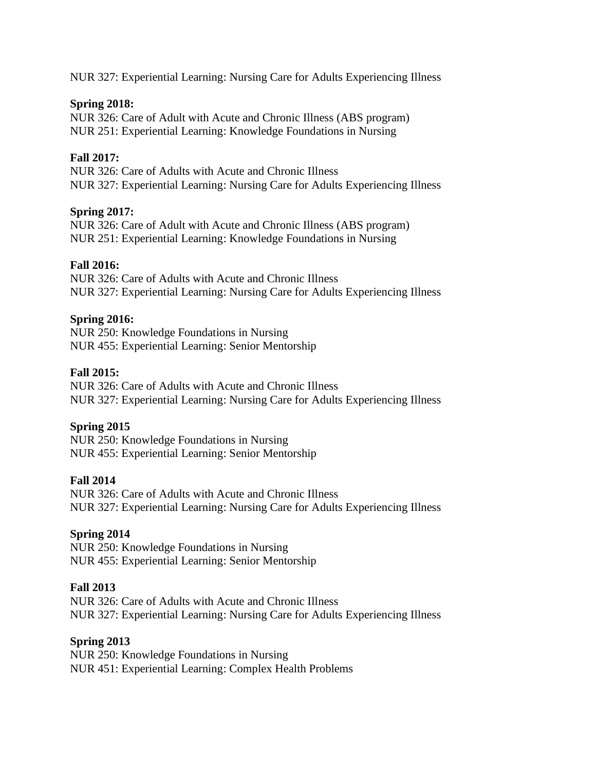NUR 327: Experiential Learning: Nursing Care for Adults Experiencing Illness

### **Spring 2018:**

NUR 326: Care of Adult with Acute and Chronic Illness (ABS program) NUR 251: Experiential Learning: Knowledge Foundations in Nursing

# **Fall 2017:**

NUR 326: Care of Adults with Acute and Chronic Illness NUR 327: Experiential Learning: Nursing Care for Adults Experiencing Illness

### **Spring 2017:**

NUR 326: Care of Adult with Acute and Chronic Illness (ABS program) NUR 251: Experiential Learning: Knowledge Foundations in Nursing

### **Fall 2016:**

NUR 326: Care of Adults with Acute and Chronic Illness NUR 327: Experiential Learning: Nursing Care for Adults Experiencing Illness

### **Spring 2016:**

NUR 250: Knowledge Foundations in Nursing NUR 455: Experiential Learning: Senior Mentorship

#### **Fall 2015:**

NUR 326: Care of Adults with Acute and Chronic Illness NUR 327: Experiential Learning: Nursing Care for Adults Experiencing Illness

#### **Spring 2015**

NUR 250: Knowledge Foundations in Nursing NUR 455: Experiential Learning: Senior Mentorship

#### **Fall 2014**

NUR 326: Care of Adults with Acute and Chronic Illness NUR 327: Experiential Learning: Nursing Care for Adults Experiencing Illness

#### **Spring 2014**

NUR 250: Knowledge Foundations in Nursing NUR 455: Experiential Learning: Senior Mentorship

#### **Fall 2013**

NUR 326: Care of Adults with Acute and Chronic Illness NUR 327: Experiential Learning: Nursing Care for Adults Experiencing Illness

#### **Spring 2013**

NUR 250: Knowledge Foundations in Nursing NUR 451: Experiential Learning: Complex Health Problems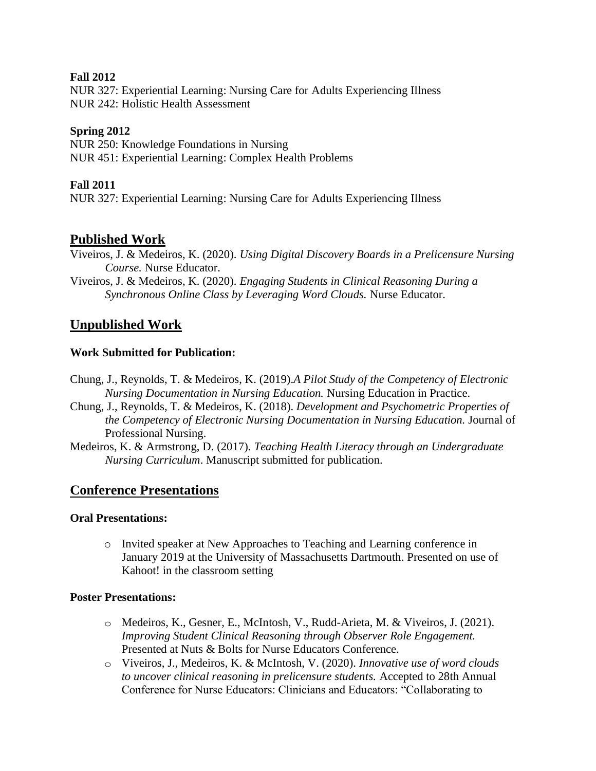# **Fall 2012**

NUR 327: Experiential Learning: Nursing Care for Adults Experiencing Illness NUR 242: Holistic Health Assessment

# **Spring 2012**

NUR 250: Knowledge Foundations in Nursing NUR 451: Experiential Learning: Complex Health Problems

### **Fall 2011**

NUR 327: Experiential Learning: Nursing Care for Adults Experiencing Illness

# **Published Work**

Viveiros, J. & Medeiros, K. (2020). *Using Digital Discovery Boards in a Prelicensure Nursing Course.* Nurse Educator.

Viveiros, J. & Medeiros, K. (2020). *Engaging Students in Clinical Reasoning During a Synchronous Online Class by Leveraging Word Clouds.* Nurse Educator.

# **Unpublished Work**

#### **Work Submitted for Publication:**

Chung, J., Reynolds, T. & Medeiros, K. (2019).*A Pilot Study of the Competency of Electronic Nursing Documentation in Nursing Education.* Nursing Education in Practice.

Chung, J., Reynolds, T. & Medeiros, K. (2018). *Development and Psychometric Properties of the Competency of Electronic Nursing Documentation in Nursing Education.* Journal of Professional Nursing.

Medeiros, K. & Armstrong, D. (2017). *Teaching Health Literacy through an Undergraduate Nursing Curriculum*. Manuscript submitted for publication.

# **Conference Presentations**

#### **Oral Presentations:**

o Invited speaker at New Approaches to Teaching and Learning conference in January 2019 at the University of Massachusetts Dartmouth. Presented on use of Kahoot! in the classroom setting

#### **Poster Presentations:**

- $\circ$  Medeiros, K., Gesner, E., McIntosh, V., Rudd-Arieta, M. & Viveiros, J. (2021). *Improving Student Clinical Reasoning through Observer Role Engagement.*  Presented at Nuts & Bolts for Nurse Educators Conference.
- o Viveiros, J., Medeiros, K. & McIntosh, V. (2020). *Innovative use of word clouds to uncover clinical reasoning in prelicensure students.* Accepted to 28th Annual Conference for Nurse Educators: Clinicians and Educators: "Collaborating to